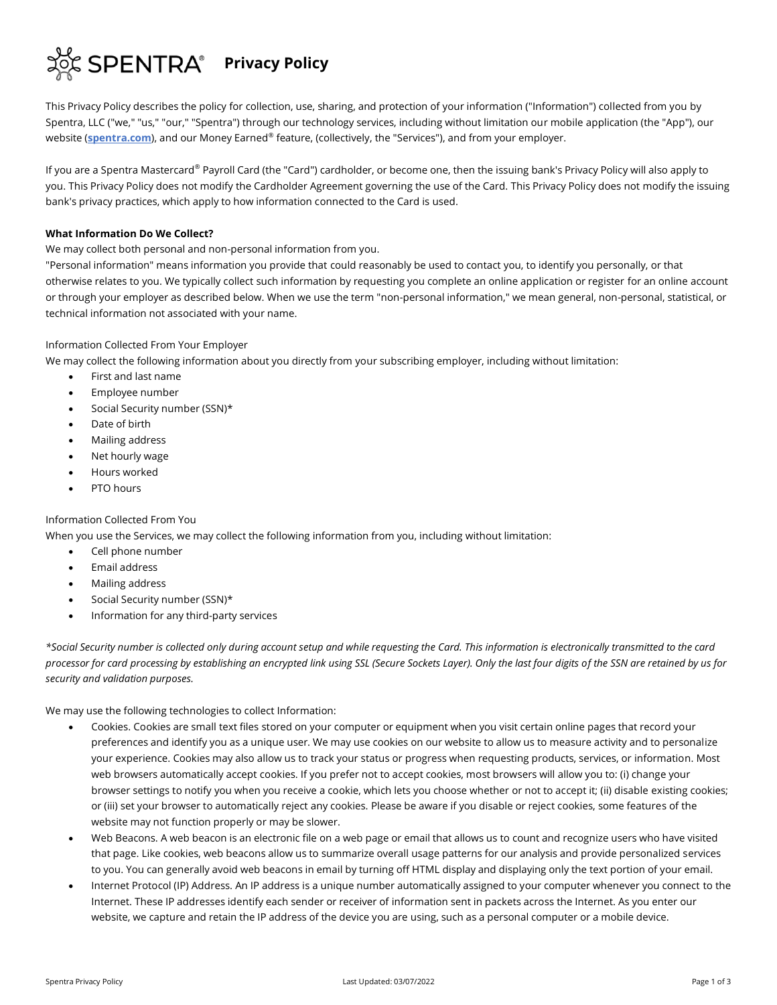

This Privacy Policy describes the policy for collection, use, sharing, and protection of your information ("Information") collected from you by Spentra, LLC ("we," "us," "our," "Spentra") through our technology services, including without limitation our mobile application (the "App"), our website (**[spentra.com](http://spentra.com/)**), and our Money Earned® feature, (collectively, the "Services"), and from your employer.

If you are a Spentra Mastercard® Payroll Card (the "Card") cardholder, or become one, then the issuing bank's Privacy Policy will also apply to you. This Privacy Policy does not modify the Cardholder Agreement governing the use of the Card. This Privacy Policy does not modify the issuing bank's privacy practices, which apply to how information connected to the Card is used.

# **What Information Do We Collect?**

We may collect both personal and non-personal information from you.

"Personal information" means information you provide that could reasonably be used to contact you, to identify you personally, or that otherwise relates to you. We typically collect such information by requesting you complete an online application or register for an online account or through your employer as described below. When we use the term "non-personal information," we mean general, non-personal, statistical, or technical information not associated with your name.

# Information Collected From Your Employer

We may collect the following information about you directly from your subscribing employer, including without limitation:

- First and last name
- Employee number
- Social Security number (SSN)\*
- Date of birth
- Mailing address
- Net hourly wage
- Hours worked
- PTO hours

# Information Collected From You

When you use the Services, we may collect the following information from you, including without limitation:

- Cell phone number
- Email address
- Mailing address
- Social Security number (SSN)\*
- Information for any third-party services

*\*Social Security number is collected only during account setup and while requesting the Card. This information is electronically transmitted to the card processor for card processing by establishing an encrypted link using SSL (Secure Sockets Layer). Only the last four digits of the SSN are retained by us for security and validation purposes.*

We may use the following technologies to collect Information:

- Cookies. Cookies are small text files stored on your computer or equipment when you visit certain online pages that record your preferences and identify you as a unique user. We may use cookies on our website to allow us to measure activity and to personalize your experience. Cookies may also allow us to track your status or progress when requesting products, services, or information. Most web browsers automatically accept cookies. If you prefer not to accept cookies, most browsers will allow you to: (i) change your browser settings to notify you when you receive a cookie, which lets you choose whether or not to accept it; (ii) disable existing cookies; or (iii) set your browser to automatically reject any cookies. Please be aware if you disable or reject cookies, some features of the website may not function properly or may be slower.
- Web Beacons. A web beacon is an electronic file on a web page or email that allows us to count and recognize users who have visited that page. Like cookies, web beacons allow us to summarize overall usage patterns for our analysis and provide personalized services to you. You can generally avoid web beacons in email by turning off HTML display and displaying only the text portion of your email.
- Internet Protocol (IP) Address. An IP address is a unique number automatically assigned to your computer whenever you connect to the Internet. These IP addresses identify each sender or receiver of information sent in packets across the Internet. As you enter our website, we capture and retain the IP address of the device you are using, such as a personal computer or a mobile device.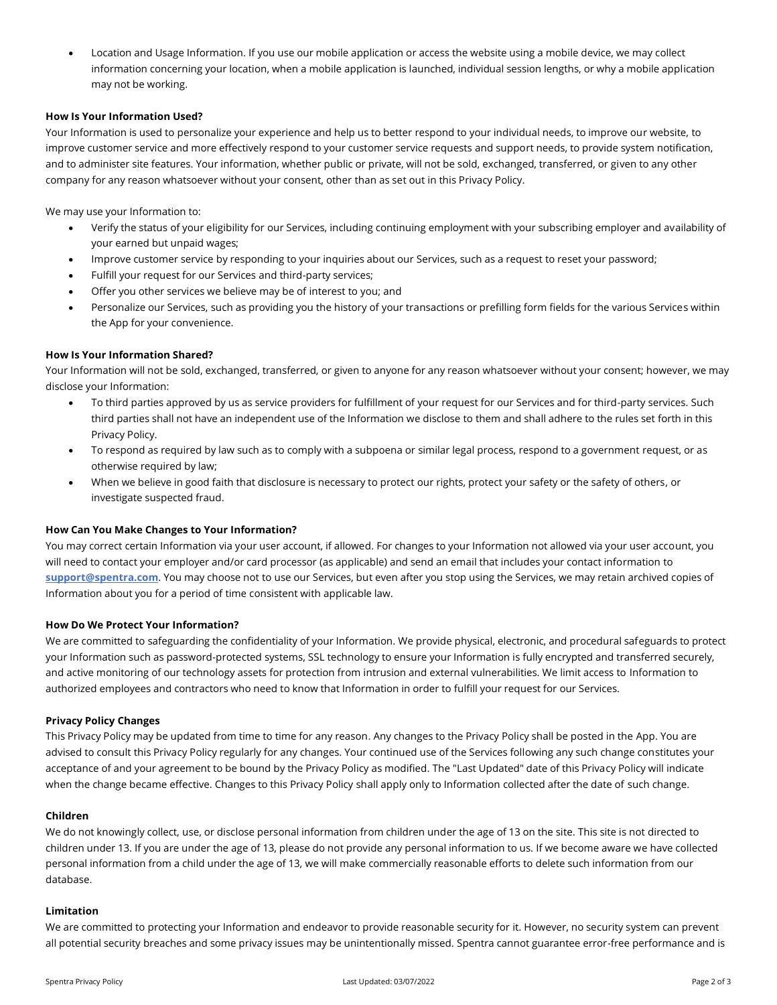• Location and Usage Information. If you use our mobile application or access the website using a mobile device, we may collect information concerning your location, when a mobile application is launched, individual session lengths, or why a mobile application may not be working.

## **How Is Your Information Used?**

Your Information is used to personalize your experience and help us to better respond to your individual needs, to improve our website, to improve customer service and more effectively respond to your customer service requests and support needs, to provide system notification, and to administer site features. Your information, whether public or private, will not be sold, exchanged, transferred, or given to any other company for any reason whatsoever without your consent, other than as set out in this Privacy Policy.

We may use your Information to:

- Verify the status of your eligibility for our Services, including continuing employment with your subscribing employer and availability of your earned but unpaid wages;
- Improve customer service by responding to your inquiries about our Services, such as a request to reset your password;
- Fulfill your request for our Services and third-party services;
- Offer you other services we believe may be of interest to you; and
- Personalize our Services, such as providing you the history of your transactions or prefilling form fields for the various Services within the App for your convenience.

## **How Is Your Information Shared?**

Your Information will not be sold, exchanged, transferred, or given to anyone for any reason whatsoever without your consent; however, we may disclose your Information:

- To third parties approved by us as service providers for fulfillment of your request for our Services and for third-party services. Such third parties shall not have an independent use of the Information we disclose to them and shall adhere to the rules set forth in this Privacy Policy.
- To respond as required by law such as to comply with a subpoena or similar legal process, respond to a government request, or as otherwise required by law;
- When we believe in good faith that disclosure is necessary to protect our rights, protect your safety or the safety of others, or investigate suspected fraud.

#### **How Can You Make Changes to Your Information?**

You may correct certain Information via your user account, if allowed. For changes to your Information not allowed via your user account, you will need to contact your employer and/or card processor (as applicable) and send an email that includes your contact information to **[support@spentra.com](mailto:support@spentra.com)**. You may choose not to use our Services, but even after you stop using the Services, we may retain archived copies of Information about you for a period of time consistent with applicable law.

## **How Do We Protect Your Information?**

We are committed to safeguarding the confidentiality of your Information. We provide physical, electronic, and procedural safeguards to protect your Information such as password-protected systems, SSL technology to ensure your Information is fully encrypted and transferred securely, and active monitoring of our technology assets for protection from intrusion and external vulnerabilities. We limit access to Information to authorized employees and contractors who need to know that Information in order to fulfill your request for our Services.

## **Privacy Policy Changes**

This Privacy Policy may be updated from time to time for any reason. Any changes to the Privacy Policy shall be posted in the App. You are advised to consult this Privacy Policy regularly for any changes. Your continued use of the Services following any such change constitutes your acceptance of and your agreement to be bound by the Privacy Policy as modified. The "Last Updated" date of this Privacy Policy will indicate when the change became effective. Changes to this Privacy Policy shall apply only to Information collected after the date of such change.

## **Children**

We do not knowingly collect, use, or disclose personal information from children under the age of 13 on the site. This site is not directed to children under 13. If you are under the age of 13, please do not provide any personal information to us. If we become aware we have collected personal information from a child under the age of 13, we will make commercially reasonable efforts to delete such information from our database.

#### **Limitation**

We are committed to protecting your Information and endeavor to provide reasonable security for it. However, no security system can prevent all potential security breaches and some privacy issues may be unintentionally missed. Spentra cannot guarantee error-free performance and is